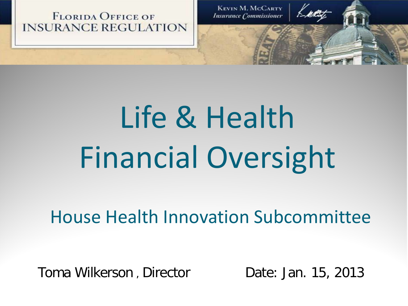**FLORIDA OFFICE OF INSURANCE REGULATION** 

**KEVIN M. MCCARTY Insurance Commissioner** 

# Life & Health Financial Oversight

#### House Health Innovation Subcommittee

Toma Wilkerson, Director **Date: Jan. 15, 2013**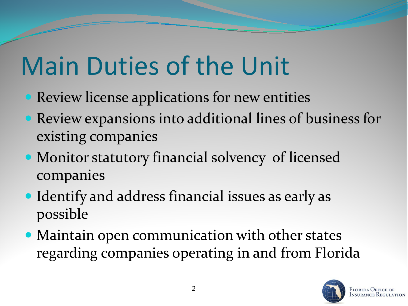## Main Duties of the Unit

- **Review license applications for new entities**
- Review expansions into additional lines of business for existing companies
- Monitor statutory financial solvency of licensed companies
- Identify and address financial issues as early as possible
- Maintain open communication with other states regarding companies operating in and from Florida

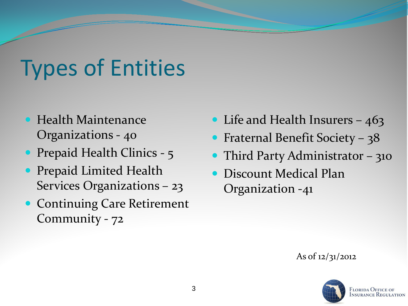#### Types of Entities

- **Health Maintenance** Organizations - 40
- Prepaid Health Clinics 5
- **Prepaid Limited Health** Services Organizations – 23
- **Continuing Care Retirement** Community - 72
- Life and Health Insurers 463
- Fraternal Benefit Society 38
- Third Party Administrator 310
- Discount Medical Plan Organization -41

As of 12/31/2012

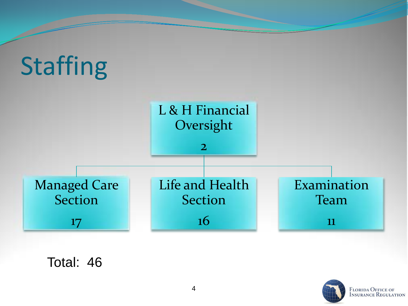

Total: 46



**FLORIDA OFFICE OF<br>INSURANCE REGULATION**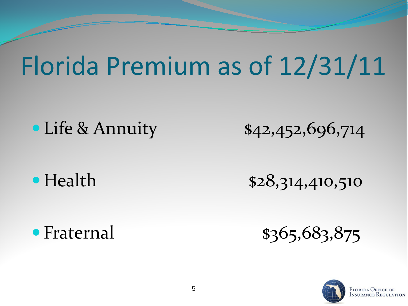#### Florida Premium as of 12/31/11

• Life & Annuity \$42,452,696,714

• Health \$28,314,410,510

• Fraternal \$365,683,875

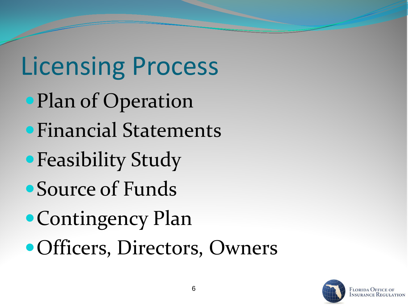# Licensing Process

- Plan of Operation
- Financial Statements
- Feasibility Study
- Source of Funds
- Contingency Plan
- Officers, Directors, Owners

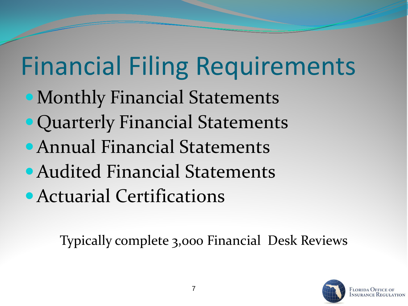# Financial Filing Requirements

- Monthly Financial Statements
- Quarterly Financial Statements
- Annual Financial Statements
- Audited Financial Statements
- Actuarial Certifications

Typically complete 3,000 Financial Desk Reviews

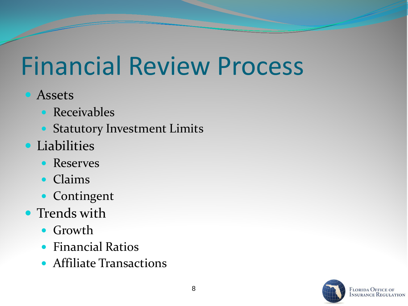#### Financial Review Process

#### **•** Assets

- **Receivables**
- Statutory Investment Limits
- **•** Liabilities
	- Reserves
	- Claims
	- Contingent
- Trends with
	- Growth
	- **•** Financial Ratios
	- Affiliate Transactions

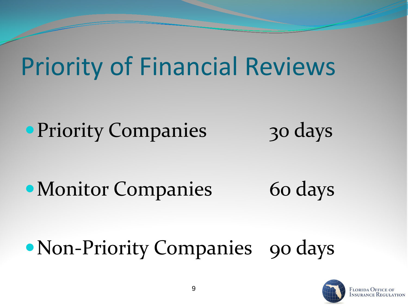#### Priority of Financial Reviews

• Priority Companies 30 days

• Monitor Companies 60 days

#### • Non-Priority Companies 90 days

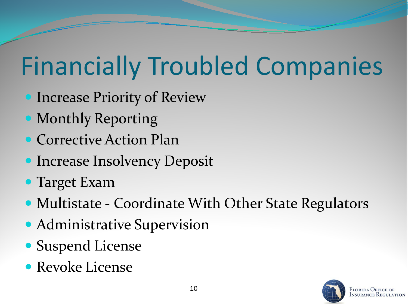## Financially Troubled Companies

- **Increase Priority of Review**
- Monthly Reporting
- Corrective Action Plan
- **Increase Insolvency Deposit**
- Target Exam
- Multistate Coordinate With Other State Regulators
- Administrative Supervision
- Suspend License
- Revoke License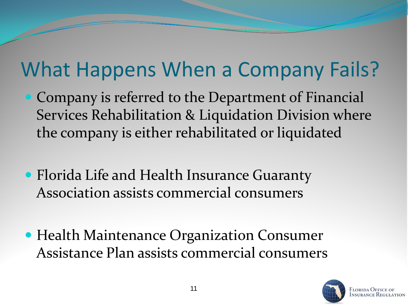#### What Happens When a Company Fails?

- Company is referred to the Department of Financial Services Rehabilitation & Liquidation Division where the company is either rehabilitated or liquidated
- Florida Life and Health Insurance Guaranty Association assists commercial consumers
- Health Maintenance Organization Consumer Assistance Plan assists commercial consumers

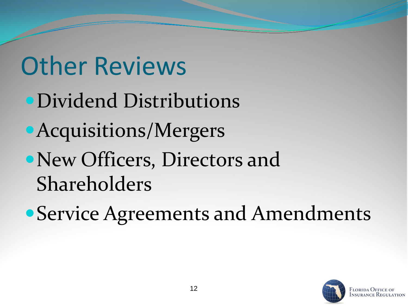#### Other Reviews

- Dividend Distributions
- Acquisitions/Mergers
- New Officers, Directors and Shareholders
- Service Agreements and Amendments

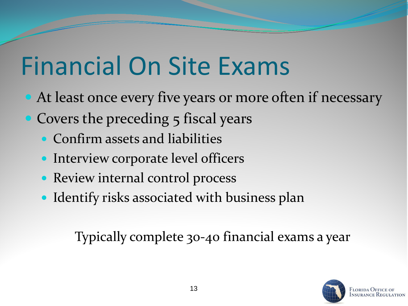### Financial On Site Exams

- At least once every five years or more often if necessary
- Covers the preceding 5 fiscal years
	- Confirm assets and liabilities
	- Interview corporate level officers
	- Review internal control process
	- Identify risks associated with business plan

Typically complete 30-40 financial exams a year

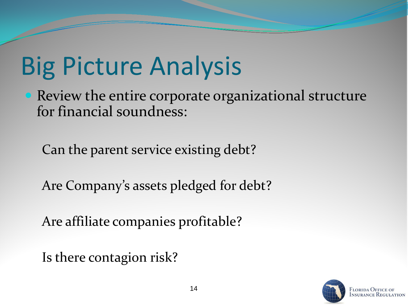## Big Picture Analysis

• Review the entire corporate organizational structure for financial soundness:

Can the parent service existing debt?

Are Company's assets pledged for debt?

Are affiliate companies profitable?

Is there contagion risk?